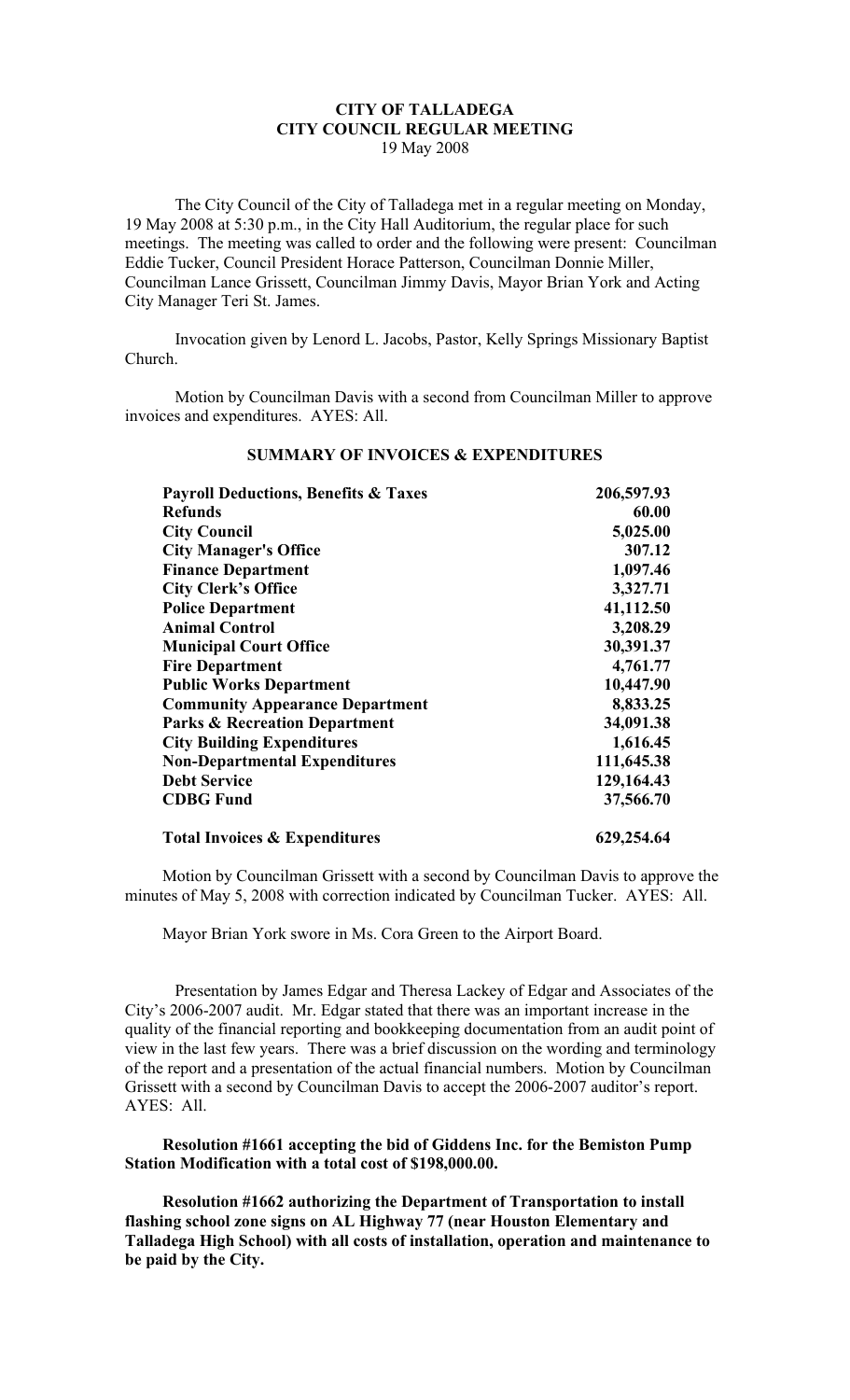# **CITY OF TALLADEGA CITY COUNCIL REGULAR MEETING** 19 May 2008

The City Council of the City of Talladega met in a regular meeting on Monday, 19 May 2008 at 5:30 p.m., in the City Hall Auditorium, the regular place for such meetings. The meeting was called to order and the following were present: Councilman Eddie Tucker, Council President Horace Patterson, Councilman Donnie Miller, Councilman Lance Grissett, Councilman Jimmy Davis, Mayor Brian York and Acting City Manager Teri St. James.

Invocation given by Lenord L. Jacobs, Pastor, Kelly Springs Missionary Baptist Church.

Motion by Councilman Davis with a second from Councilman Miller to approve invoices and expenditures. AYES: All.

| <b>Payroll Deductions, Benefits &amp; Taxes</b><br><b>Refunds</b> | 206,597.93<br>60.00 |
|-------------------------------------------------------------------|---------------------|
|                                                                   |                     |
| <b>City Manager's Office</b>                                      | 307.12              |
| <b>Finance Department</b>                                         | 1,097.46            |
| <b>City Clerk's Office</b>                                        | 3,327.71            |
| <b>Police Department</b>                                          | 41,112.50           |
| <b>Animal Control</b>                                             | 3,208.29            |
| <b>Municipal Court Office</b>                                     | 30,391.37           |
| <b>Fire Department</b>                                            | 4,761.77            |
| <b>Public Works Department</b>                                    | 10,447.90           |
| <b>Community Appearance Department</b>                            | 8,833.25            |
| <b>Parks &amp; Recreation Department</b>                          | 34,091.38           |
| <b>City Building Expenditures</b>                                 | 1,616.45            |
| <b>Non-Departmental Expenditures</b>                              | 111,645.38          |
| <b>Debt Service</b>                                               | 129,164.43          |
| <b>CDBG Fund</b>                                                  | 37,566.70           |
| <b>Total Invoices &amp; Expenditures</b>                          | 629,254.64          |

# **SUMMARY OF INVOICES & EXPENDITURES**

Motion by Councilman Grissett with a second by Councilman Davis to approve the minutes of May 5, 2008 with correction indicated by Councilman Tucker. AYES: All.

Mayor Brian York swore in Ms. Cora Green to the Airport Board.

Presentation by James Edgar and Theresa Lackey of Edgar and Associates of the City's 2006-2007 audit. Mr. Edgar stated that there was an important increase in the quality of the financial reporting and bookkeeping documentation from an audit point of view in the last few years. There was a brief discussion on the wording and terminology of the report and a presentation of the actual financial numbers. Motion by Councilman Grissett with a second by Councilman Davis to accept the 2006-2007 auditor's report. AYES: All.

**Resolution #1661 accepting the bid of Giddens Inc. for the Bemiston Pump Station Modification with a total cost of \$198,000.00.**

**Resolution #1662 authorizing the Department of Transportation to install flashing school zone signs on AL Highway 77 (near Houston Elementary and Talladega High School) with all costs of installation, operation and maintenance to be paid by the City.**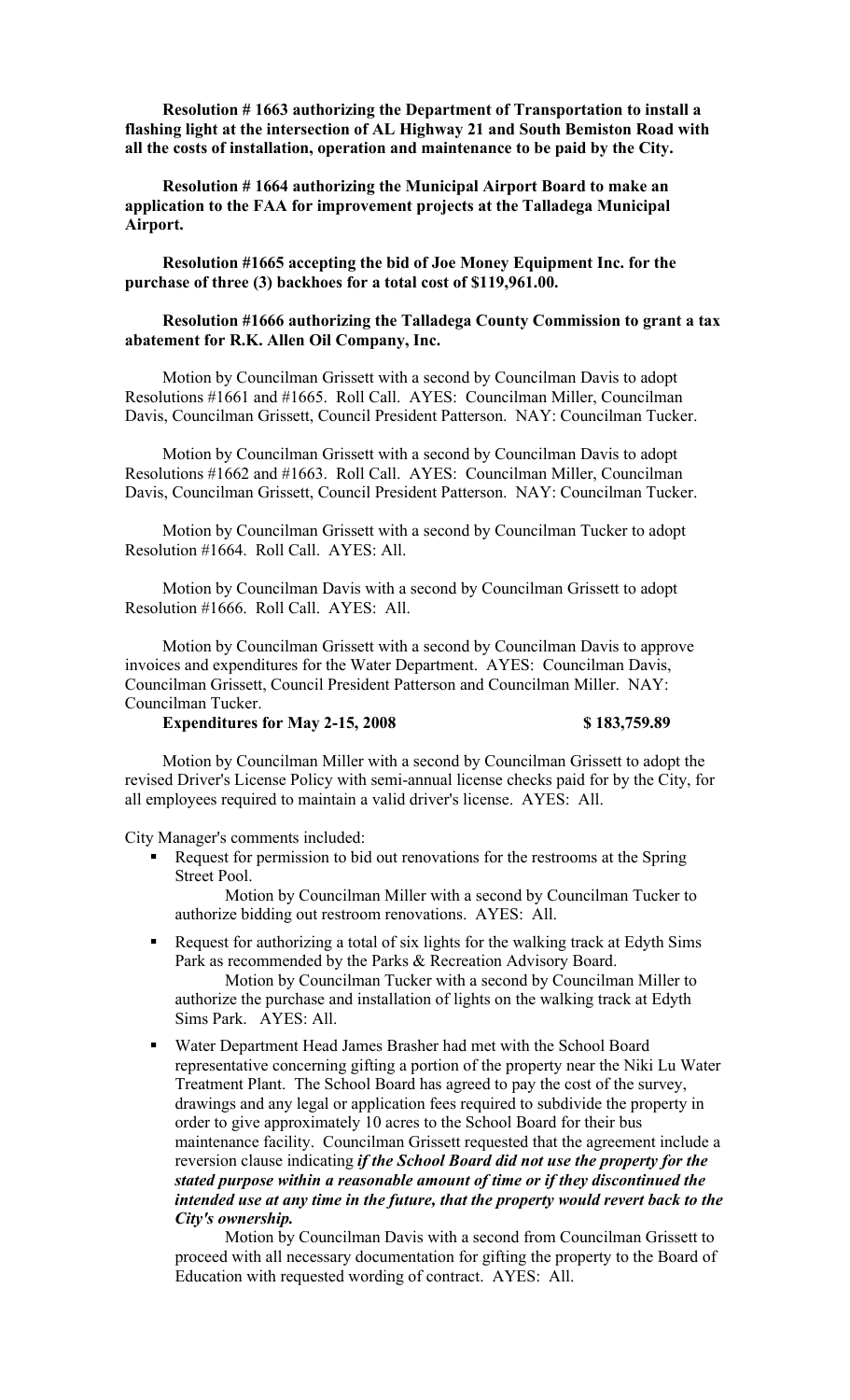**Resolution # 1663 authorizing the Department of Transportation to install a flashing light at the intersection of AL Highway 21 and South Bemiston Road with all the costs of installation, operation and maintenance to be paid by the City.**

**Resolution # 1664 authorizing the Municipal Airport Board to make an application to the FAA for improvement projects at the Talladega Municipal Airport.**

**Resolution #1665 accepting the bid of Joe Money Equipment Inc. for the purchase of three (3) backhoes for a total cost of \$119,961.00.**

### **Resolution #1666 authorizing the Talladega County Commission to grant a tax abatement for R.K. Allen Oil Company, Inc.**

Motion by Councilman Grissett with a second by Councilman Davis to adopt Resolutions #1661 and #1665. Roll Call. AYES: Councilman Miller, Councilman Davis, Councilman Grissett, Council President Patterson. NAY: Councilman Tucker.

Motion by Councilman Grissett with a second by Councilman Davis to adopt Resolutions #1662 and #1663. Roll Call. AYES: Councilman Miller, Councilman Davis, Councilman Grissett, Council President Patterson. NAY: Councilman Tucker.

Motion by Councilman Grissett with a second by Councilman Tucker to adopt Resolution #1664. Roll Call. AYES: All.

Motion by Councilman Davis with a second by Councilman Grissett to adopt Resolution #1666. Roll Call. AYES: All.

Motion by Councilman Grissett with a second by Councilman Davis to approve invoices and expenditures for the Water Department. AYES: Councilman Davis, Councilman Grissett, Council President Patterson and Councilman Miller. NAY: Councilman Tucker.

### **Expenditures for May 2-15, 2008 \$ 183,759.89**

Motion by Councilman Miller with a second by Councilman Grissett to adopt the revised Driver's License Policy with semi-annual license checks paid for by the City, for all employees required to maintain a valid driver's license. AYES: All.

City Manager's comments included:

Request for permission to bid out renovations for the restrooms at the Spring Street Pool.

Motion by Councilman Miller with a second by Councilman Tucker to authorize bidding out restroom renovations. AYES: All.

 Request for authorizing a total of six lights for the walking track at Edyth Sims Park as recommended by the Parks & Recreation Advisory Board.

Motion by Councilman Tucker with a second by Councilman Miller to authorize the purchase and installation of lights on the walking track at Edyth Sims Park. AYES: All.

 Water Department Head James Brasher had met with the School Board representative concerning gifting a portion of the property near the Niki Lu Water Treatment Plant. The School Board has agreed to pay the cost of the survey, drawings and any legal or application fees required to subdivide the property in order to give approximately 10 acres to the School Board for their bus maintenance facility. Councilman Grissett requested that the agreement include a reversion clause indicating *if the School Board did not use the property for the stated purpose within a reasonable amount of time or if they discontinued the intended use at any time in the future, that the property would revert back to the City's ownership.*

Motion by Councilman Davis with a second from Councilman Grissett to proceed with all necessary documentation for gifting the property to the Board of Education with requested wording of contract. AYES: All.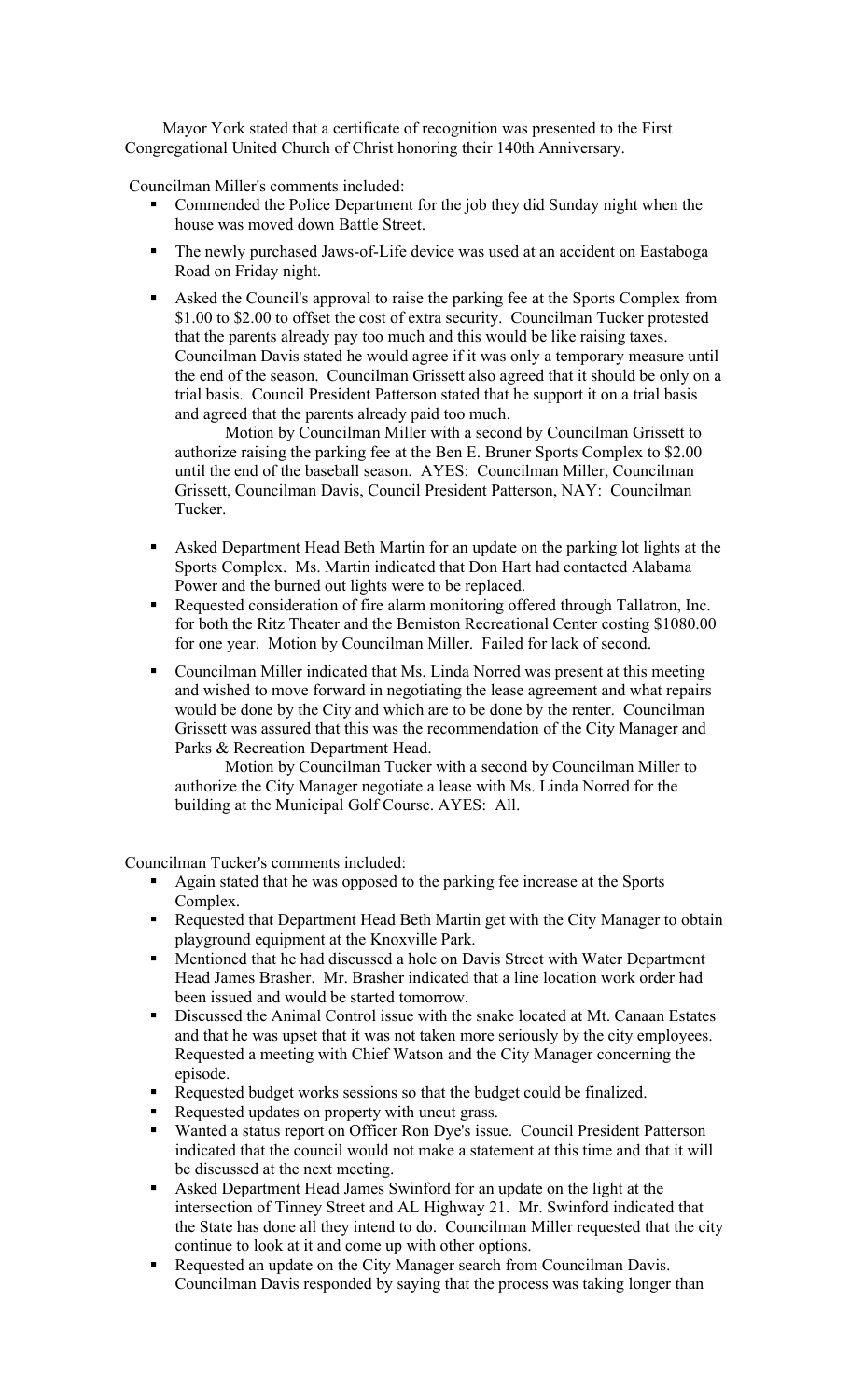Mayor York stated that a certificate of recognition was presented to the First Congregational United Church of Christ honoring their 140th Anniversary.

Councilman Miller's comments included:

- Commended the Police Department for the job they did Sunday night when the house was moved down Battle Street.
- The newly purchased Jaws-of-Life device was used at an accident on Eastaboga Road on Friday night.
- Asked the Council's approval to raise the parking fee at the Sports Complex from \$1.00 to \$2.00 to offset the cost of extra security. Councilman Tucker protested that the parents already pay too much and this would be like raising taxes. Councilman Davis stated he would agree if it was only a temporary measure until the end of the season. Councilman Grissett also agreed that it should be only on a trial basis. Council President Patterson stated that he support it on a trial basis and agreed that the parents already paid too much.

Motion by Councilman Miller with a second by Councilman Grissett to authorize raising the parking fee at the Ben E. Bruner Sports Complex to \$2.00 until the end of the baseball season. AYES: Councilman Miller, Councilman Grissett, Councilman Davis, Council President Patterson, NAY: Councilman Tucker.

- Asked Department Head Beth Martin for an update on the parking lot lights at the Sports Complex. Ms. Martin indicated that Don Hart had contacted Alabama Power and the burned out lights were to be replaced.
- Requested consideration of fire alarm monitoring offered through Tallatron, Inc. for both the Ritz Theater and the Bemiston Recreational Center costing \$1080.00 for one year. Motion by Councilman Miller. Failed for lack of second.
- Councilman Miller indicated that Ms. Linda Norred was present at this meeting and wished to move forward in negotiating the lease agreement and what repairs would be done by the City and which are to be done by the renter. Councilman Grissett was assured that this was the recommendation of the City Manager and Parks & Recreation Department Head.

Motion by Councilman Tucker with a second by Councilman Miller to authorize the City Manager negotiate a lease with Ms. Linda Norred for the building at the Municipal Golf Course. AYES: All.

Councilman Tucker's comments included:

- Again stated that he was opposed to the parking fee increase at the Sports Complex.
- Requested that Department Head Beth Martin get with the City Manager to obtain playground equipment at the Knoxville Park.
- Mentioned that he had discussed a hole on Davis Street with Water Department Head James Brasher. Mr. Brasher indicated that a line location work order had been issued and would be started tomorrow.
- Discussed the Animal Control issue with the snake located at Mt. Canaan Estates and that he was upset that it was not taken more seriously by the city employees. Requested a meeting with Chief Watson and the City Manager concerning the episode.
- Requested budget works sessions so that the budget could be finalized.
- Requested updates on property with uncut grass.
- Wanted a status report on Officer Ron Dye's issue. Council President Patterson indicated that the council would not make a statement at this time and that it will be discussed at the next meeting.
- Asked Department Head James Swinford for an update on the light at the intersection of Tinney Street and AL Highway 21. Mr. Swinford indicated that the State has done all they intend to do. Councilman Miller requested that the city continue to look at it and come up with other options.
- Requested an update on the City Manager search from Councilman Davis. Councilman Davis responded by saying that the process was taking longer than